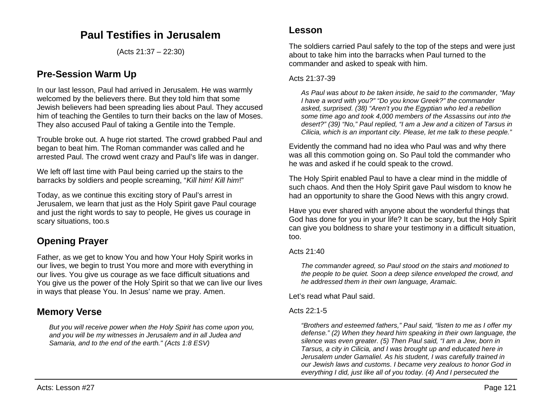## **Paul Testifies in Jerusalem**

(Acts 21:37 – 22:30)

## **Pre-Session Warm Up**

In our last lesson, Paul had arrived in Jerusalem. He was warmly welcomed by the believers there. But they told him that some Jewish believers had been spreading lies about Paul. They accused him of teaching the Gentiles to turn their backs on the law of Moses. They also accused Paul of taking a Gentile into the Temple.

Trouble broke out. A huge riot started. The crowd grabbed Paul and began to beat him. The Roman commander was called and he arrested Paul. The crowd went crazy and Paul's life was in danger.

We left off last time with Paul being carried up the stairs to the barracks by soldiers and people screaming, "*Kill him! Kill him*!"

Today, as we continue this exciting story of Paul's arrest in Jerusalem, we learn that just as the Holy Spirit gave Paul courage and just the right words to say to people, He gives us courage in scary situations, too.s

# **Opening Prayer**

Father, as we get to know You and how Your Holy Spirit works in our lives, we begin to trust You more and more with everything in our lives. You give us courage as we face difficult situations and You give us the power of the Holy Spirit so that we can live our lives in ways that please You. In Jesus' name we pray. Amen.

## **Memory Verse**

*But you will receive power when the Holy Spirit has come upon you, and you will be my witnesses in Jerusalem and in all Judea and Samaria, and to the end of the earth." (Acts 1:8 ESV)*

## **Lesson**

The soldiers carried Paul safely to the top of the steps and were just about to take him into the barracks when Paul turned to the commander and asked to speak with him.

### Acts 21:37-39

*As Paul was about to be taken inside, he said to the commander, "May I have a word with you?" "Do you know Greek?" the commander asked, surprised. (38) "Aren't you the Egyptian who led a rebellion some time ago and took 4,000 members of the Assassins out into the desert?" (39) "No," Paul replied, "I am a Jew and a citizen of Tarsus in Cilicia, which is an important city. Please, let me talk to these people."*

Evidently the command had no idea who Paul was and why there was all this commotion going on. So Paul told the commander who he was and asked if he could speak to the crowd.

The Holy Spirit enabled Paul to have a clear mind in the middle of such chaos. And then the Holy Spirit gave Paul wisdom to know he had an opportunity to share the Good News with this angry crowd.

Have you ever shared with anyone about the wonderful things that God has done for you in your life? It can be scary, but the Holy Spirit can give you boldness to share your testimony in a difficult situation, too.

### Acts  $21:40$

*The commander agreed, so Paul stood on the stairs and motioned to the people to be quiet. Soon a deep silence enveloped the crowd, and he addressed them in their own language, Aramaic.*

Let's read what Paul said.

### Acts 22:1-5

*"Brothers and esteemed fathers," Paul said, "listen to me as I offer my defense." (2) When they heard him speaking in their own language, the silence was even greater. (5) Then Paul said, "I am a Jew, born in Tarsus, a city in Cilicia, and I was brought up and educated here in Jerusalem under Gamaliel. As his student, I was carefully trained in our Jewish laws and customs. I became very zealous to honor God in everything I did, just like all of you today. (4) And I persecuted the*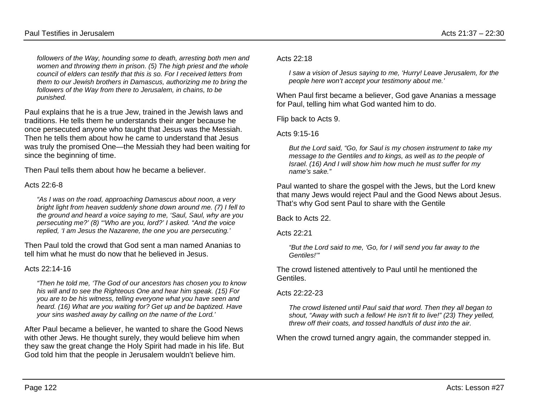*followers of the Way, hounding some to death, arresting both men and women and throwing them in prison. (5) The high priest and the whole council of elders can testify that this is so. For I received letters from them to our Jewish brothers in Damascus, authorizing me to bring the followers of the Way from there to Jerusalem, in chains, to be punished.*

Paul explains that he is a true Jew, trained in the Jewish laws and traditions. He tells them he understands their anger because he once persecuted anyone who taught that Jesus was the Messiah. Then he tells them about how he came to understand that Jesus was truly the promised One—the Messiah they had been waiting for since the beginning of time.

Then Paul tells them about how he became a believer.

### Acts 22:6-8

*"As I was on the road, approaching Damascus about noon, a very bright light from heaven suddenly shone down around me. (7) I fell to the ground and heard a voice saying to me, 'Saul, Saul, why are you persecuting me?' (8) "'Who are you, lord?' I asked. "And the voice replied, 'I am Jesus the Nazarene, the one you are persecuting.'*

Then Paul told the crowd that God sent a man named Ananias to tell him what he must do now that he believed in Jesus.

### Acts 22:14-16

*"Then he told me, 'The God of our ancestors has chosen you to know his will and to see the Righteous One and hear him speak. (15) For you are to be his witness, telling everyone what you have seen and heard. (16) What are you waiting for? Get up and be baptized. Have your sins washed away by calling on the name of the Lord.'*

After Paul became a believer, he wanted to share the Good News with other Jews. He thought surely, they would believe him when they saw the great change the Holy Spirit had made in his life. But God told him that the people in Jerusalem wouldn't believe him.

Acts 22:18

*I saw a vision of Jesus saying to me, 'Hurry! Leave Jerusalem, for the people here won't accept your testimony about me.'*

When Paul first became a believer, God gave Ananias a message for Paul, telling him what God wanted him to do.

Flip back to Acts 9.

Acts 9:15-16

*But the Lord said, "Go, for Saul is my chosen instrument to take my message to the Gentiles and to kings, as well as to the people of Israel. (16) And I will show him how much he must suffer for my name's sake."*

Paul wanted to share the gospel with the Jews, but the Lord knew that many Jews would reject Paul and the Good News about Jesus. That's why God sent Paul to share with the Gentile

Back to Acts 22.

Acts 22:21

*"But the Lord said to me, 'Go, for I will send you far away to the Gentiles!'"*

The crowd listened attentively to Paul until he mentioned the Gentiles.

Acts 22:22-23

*The crowd listened until Paul said that word. Then they all began to shout, "Away with such a fellow! He isn't fit to live!" (23) They yelled, threw off their coats, and tossed handfuls of dust into the air.*

When the crowd turned angry again, the commander stepped in.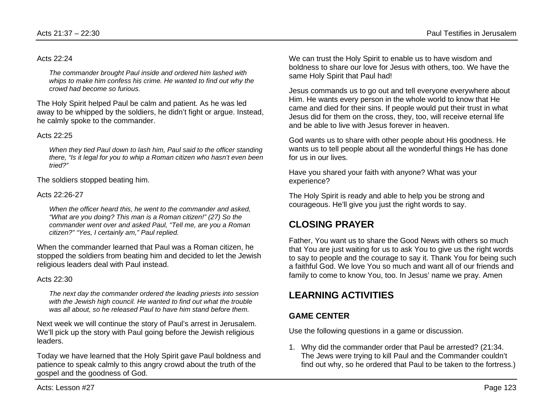#### Acts 22:24

*The commander brought Paul inside and ordered him lashed with*  whips to make him confess his crime. He wanted to find out why the *crowd had become so furious.*

The Holy Spirit helped Paul be calm and patient. As he was led away to be whipped by the soldiers, he didn't fight or argue. Instead, he calmly spoke to the commander.

#### Acts  $22.25$

*When they tied Paul down to lash him, Paul said to the officer standing there, "Is it legal for you to whip a Roman citizen who hasn't even been tried?"*

The soldiers stopped beating him.

#### Acts 22:26-27

*When the officer heard this, he went to the commander and asked, "What are you doing? This man is a Roman citizen!" (27) So the commander went over and asked Paul, "Tell me, are you a Roman citizen?" "Yes, I certainly am," Paul replied.*

When the commander learned that Paul was a Roman citizen, he stopped the soldiers from beating him and decided to let the Jewish religious leaders deal with Paul instead.

#### Acts  $22:30$

*The next day the commander ordered the leading priests into session*  with the Jewish high council. He wanted to find out what the trouble *was all about, so he released Paul to have him stand before them.*

Next week we will continue the story of Paul's arrest in Jerusalem. We'll pick up the story with Paul going before the Jewish religious leaders.

Today we have learned that the Holy Spirit gave Paul boldness and patience to speak calmly to this angry crowd about the truth of the gospel and the goodness of God.

We can trust the Holy Spirit to enable us to have wisdom and boldness to share our love for Jesus with others, too. We have the same Holy Spirit that Paul had!

Jesus commands us to go out and tell everyone everywhere about Him. He wants every person in the whole world to know that He came and died for their sins. If people would put their trust in what Jesus did for them on the cross, they, too, will receive eternal life and be able to live with Jesus forever in heaven.

God wants us to share with other people about His goodness. He wants us to tell people about all the wonderful things He has done for us in our lives.

Have you shared your faith with anyone? What was your experience?

The Holy Spirit is ready and able to help you be strong and courageous. He'll give you just the right words to say.

## **CLOSING PRAYER**

Father, You want us to share the Good News with others so much that You are just waiting for us to ask You to give us the right words to say to people and the courage to say it. Thank You for being such a faithful God. We love You so much and want all of our friends and family to come to know You, too. In Jesus' name we pray. Amen

## **LEARNING ACTIVITIES**

## **GAME CENTER**

Use the following questions in a game or discussion.

1. Why did the commander order that Paul be arrested? (21:34. The Jews were trying to kill Paul and the Commander couldn't find out why, so he ordered that Paul to be taken to the fortress.)